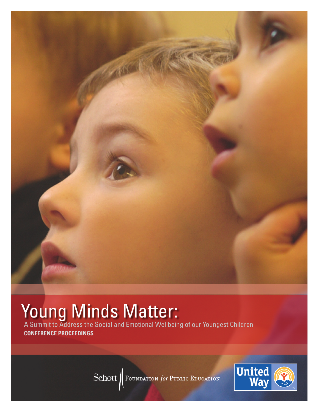

# Young Minds Matter:

A Summit to Address the Social and Emotional Wellbeing of our Youngest Children **CONFERENCE PROCEEDINGS**

Schott | FOUNDATION for PUBLIC EDUCATION

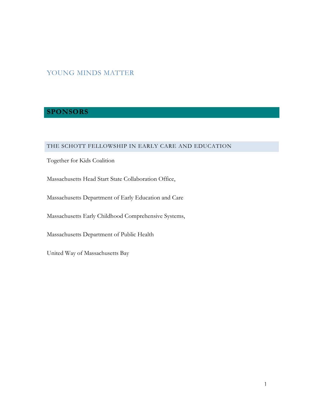# YOUNG MINDS MATTER

# **SPONSORS**

# THE SCHOTT FELLOWSHIP IN EARLY CARE AND EDUCATION

Together for Kids Coalition

Massachusetts Head Start State Collaboration Office,

Massachusetts Department of Early Education and Care

Massachusetts Early Childhood Comprehensive Systems,

Massachusetts Department of Public Health

United Way of Massachusetts Bay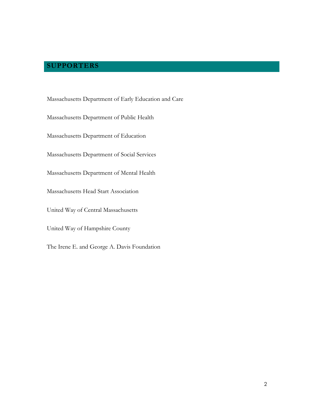# **SUPPORTERS**

Massachusetts Department of Early Education and Care Massachusetts Department of Public Health Massachusetts Department of Education Massachusetts Department of Social Services Massachusetts Department of Mental Health Massachusetts Head Start Association United Way of Central Massachusetts United Way of Hampshire County The Irene E. and George A. Davis Foundation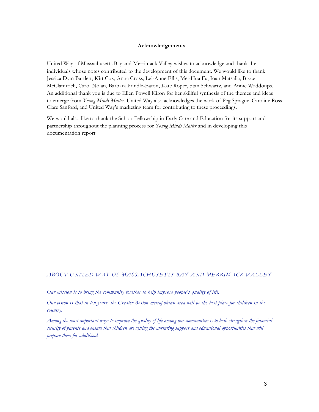#### **Acknowledgements**

United Way of Massachusetts Bay and Merrimack Valley wishes to acknowledge and thank the individuals whose notes contributed to the development of this document. We would like to thank Jessica Dym Bartlett, Kitt Cox, Anna Cross, Lei-Anne Ellis, Mei-Hua Fu, Joan Matsalia, Bryce McClamroch, Carol Nolan, Barbara Prindle-Eaton, Kate Roper, Stan Schwartz, and Annie Waddoups. An additional thank you is due to Ellen Powell Kiron for her skillful synthesis of the themes and ideas to emerge from *Young Minds Matter.* United Way also acknowledges the work of Peg Sprague, Caroline Ross, Clare Sanford, and United Way's marketing team for contributing to these proceedings.

We would also like to thank the Schott Fellowship in Early Care and Education for its support and partnership throughout the planning process for *Young Minds Matter* and in developing this documentation report.

#### *ABOUT UNITED WAY OF MASSACHUSETTS BAY AND MERRIMACK VALLEY*

*Our mission is to bring the community together to help improve people's quality of life.*

Our vision is that in ten years, the Greater Boston metropolitan area will be the best place for children in the *country.*

Among the most important ways to improve the quality of life among our communities is to both strengthen the financial security of parents and ensure that children are getting the nurturing support and educational opportunities that will *prepare them for adulthood.*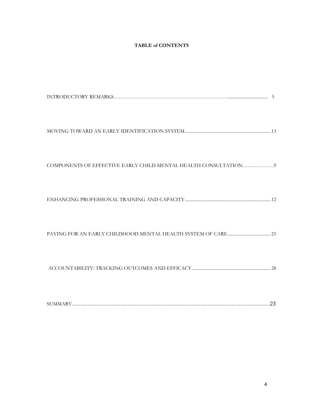#### **TABLE of CONTENTS**

| COMPONENTS OF EFFECTIVE EARLY CHILD MENTAL HEALTH CONSULTATION 9 |  |
|------------------------------------------------------------------|--|
|                                                                  |  |
|                                                                  |  |
|                                                                  |  |
|                                                                  |  |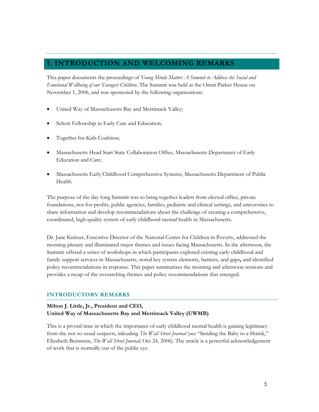# <span id="page-5-0"></span>**I. INTRODUCTION AND WELCOMING REMARKS**

This paper documents the proceedings of *Young Minds Matter: A Summit to Address the Social and Emotional Wellbeing of our Youngest Children*. The Summit was held at the Omni Parker House on November 1, 2006, and was sponsored by the following organizations:

- United Way of Massachusetts Bay and Merrimack Valley;
- Schott Fellowship in Early Care and Education;
- Together for Kids Coalition;
- Massachusetts Head Start State Collaboration Office, Massachusetts Department of Early Education and Care;
- Massachusetts Early Childhood Comprehensive Systems, Massachusetts Department of Public Health.

The purpose of the day-long Summit was to bring together leaders from elected office, private foundations, not-for-profits, public agencies, families, pediatric and clinical settings, and universities to share information and develop recommendations about the challenge of creating a comprehensive, coordinated, high-quality system of early childhood mental health in Massachusetts.

Dr. Jane Knitzer, Executive Director of the National Center for Children in Poverty, addressed the morning plenary and illuminated major themes and issues facing Massachusetts. In the afternoon, the Summit offered a series of workshops in which participants explored existing early childhood and family support services in Massachusetts, noted key system elements, barriers, and gaps**,** and identified policy recommendations in response. This paper summarizes the morning and afternoon sessions and provides a recap of the overarching themes and policy recommendations that emerged.

#### **INTRODUCTORY REMARKS**

## **Milton J. Little, Jr., President and CEO, United Way of Massachusetts Bay and Merrimack Valley (UWMB)**

This is a pivotal time in which the importance of early childhood mental health is gaining legitimacy from the not-so-usual suspects, inlcuding *The Wall Street Journal* (see ["Sending the Baby to a Shrink,](http://pqasb.pqarchiver.com/wsj/access/1150232881.html?dids=1150232881:1150232881&FMT=ABS&FMTS=ABS:FT&date=Oct+24%2C+2006&author=Elizabeth+Bernstein&pub=Wall+Street+Journal&edition=Eastern+edition&startpage=D.1&type=8_90&desc=Sending+the+Baby+T)" Elizabeth Bernstein, *The Wall Street Journal*; Oct 24, 2006). The article is a powerful acknowledgement of work that is normally out of the public eye.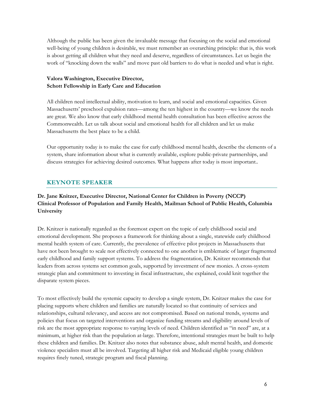Although the public has been given the invaluable message that focusing on the social and emotional well-being of young children is desirable, we must remember an overarching principle: that is, this work is about getting all children what they need and deserve, regardless of circumstances. Let us begin the work of "knocking down the walls" and move past old barriers to do what is needed and what is right.

## **Valora Washington, Executive Director, Schott Fellowship in Early Care and Education**

All children need intellectual ability, motivation to learn, and social and emotional capacities. Given Massachusetts' preschool expulsion rates—among the ten highest in the country—we know the needs are great. We also know that early childhood mental health consultation has been effective across the Commonwealth. Let us talk about social and emotional health for all children and let us make Massachusetts the best place to be a child.

Our opportunity today is to make the case for early childhood mental health, describe the elements of a system, share information about what is currently available, explore public-private partnerships, and discuss strategies for achieving desired outcomes. What happens after today is most important..

# **KEYNOTE SPEAKER**

# **Dr. Jane Knitzer, Executive Director, National Center for Children in Poverty (NCCP) Clinical Professor of Population and Family Health, Mailman School of Public Health, Columbia University**

Dr. Knitzer is nationally regarded as the foremost expert on the topic of early childhood social and emotional development. She proposes a framework for thinking about a single, statewide early childhood mental health system of care. Currently, the prevalence of effective pilot projects in Massachusetts that have not been brought to scale nor effectively connected to one another is emblematic of larger fragmented early childhood and family support systems. To address the fragmentation, Dr. Knitzer recommends that leaders from across systems set common goals, supported by investment of new monies. A cross-system strategic plan and commitment to investing in fiscal infrastructure, she explained, could knit together the disparate system pieces.

To most effectively build the systemic capacity to develop a single system, Dr. Knitzer makes the case for placing supports where children and families are naturally located so that continuity of services and relationships, cultural relevancy, and access are not compromised. Based on national trends, systems and policies that focus on targeted interventions and organize funding streams and eligibility around levels of risk are the most appropriate response to varying levels of need. Children identified as "in need" are, at a minimum, at higher risk than the population at-large. Therefore, intentional strategies must be built to help these children and families. Dr. Knitzer also notes that substance abuse, adult mental health, and domestic violence specialists must all be involved. Targeting all higher risk and Medicaid eligible young children requires finely tuned, strategic program and fiscal planning.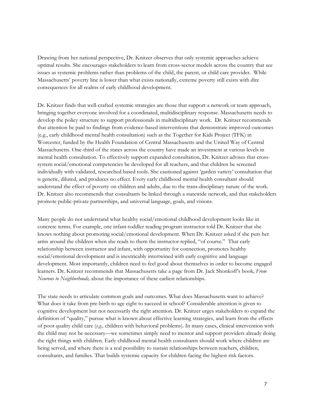Drawing from her national perspective, Dr. Knitzer observes that only systemic approaches achieve optimal results. She encourages stakeholders to learn from cross-sector models across the country that see issues as systemic problems rather than problems of the child, the parent, or child care provider. While Massachusetts' poverty line is lower than what exists nationally, extreme poverty still exists with dire consequences for all realms of early childhood development.

Dr. Knitzer finds that well-crafted systemic strategies are those that support a network or team approach, bringing together everyone involved for a coordinated, multidisciplinary response. Massachusetts needs to develop the policy structure to support professionals in multidisciplinary work. Dr. Knitzer recommends that attention be paid to findings from evidence-based interventions that demonstrate improved outcomes (e.g., early childhood mental health consultation) such as the Together for Kids Project (TFK) in Worcester, funded by the Health Foundation of Central Massachusetts and the United Way of Central Massachusetts. One-third of the states across the country have made an investment at various levels in mental health consultation. To effectively support expanded consultation, Dr. Knitzer advises that crosssystem social/emotional competencies be developed for all teachers, and that children be screened individually with validated, researched based tools. She cautioned against 'garden variety' consultation that is generic, diluted, and produces no effect. Every early childhood mental health consultant should understand the effect of poverty on children and adults, due to the trans-disciplinary nature of the work. Dr. Knitzer also recommends that consultants be linked through a statewide network, and that stakeholders promote public-private partnerships, and universal language, goals, and visions.

Many people do not understand what healthy social/emotional childhood development looks like in concrete terms. For example, one infant-toddler reading program instructor told Dr. Knitzer that she knows nothing about promoting social/emotional development. When Dr. Knitzer asked if she puts her arms around the children when she reads to them the instructor replied, "of course." That early relationship between instructor and infant, with opportunity for connection, promotes healthy social/emotional development and is inextricably intertwined with early cognitive and language development. Most importantly, children need to feel good about themselves in order to become engaged learners. Dr. Knitzer recommends that Massachusetts take a page from Dr. Jack Shonkoff's book, *From Neurons to Neighborhoods,* about the importance of these earliest relationships.

The state needs to articulate common goals and outcomes. What does Massachusetts want to achieve? What does it take from pre-birth to age eight to succeed in school? Considerable attention is given to cognitive development but not necessarily the right attention. Dr. Knitzer urges stakeholders to expand the definition of "quality," pursue what is known about effective learning strategies, and learn from the effects of poor quality child care (*e.g.,* children with behavioral problems). In many cases, clinical intervention with the child may not be necessary—we sometimes simply need to mentor and support providers already doing the right things with children. Early childhood mental health consultants should work where children are being served, and where there is a real possibility to sustain relationships between teachers, children, consultants, and families. That builds systemic capacity for children facing the highest risk factors*.*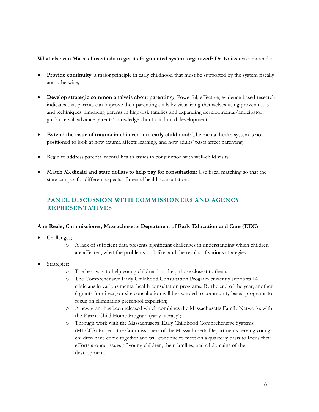#### **What else can Massachusetts do to get its fragmented system organized**? Dr. Knitzer recommends:

- Provide continuity: a major principle in early childhood that must be supported by the system fiscally and otherwise;
- **Develop strategic common analysis about parenting**: Powerful, effective, evidence-based research indicates that parents can improve their parenting skills by visualizing themselves using proven tools and techiniques. Engaging parents in high-risk families and expanding developmental/anticipatory guidance will advance parents' knowledge about childhood development;
- **Extend the issue of trauma in children into early childhood**: The mental health system is not positioned to look at how trauma affects learning, and how adults' pasts affect parenting.
- Begin to address parental mental health issues in conjunction with well-child visits.
- **Match Medicaid and state dollars to help pay for consultation:** Use fiscal matching so that the state can pay for different aspects of mental health consultation.

# **PANEL DISCUSSION WITH COMMISSIONERS AND AGENCY REPRESENTATIVES**

#### **Ann Reale, Commissioner, Massachusetts Department of Early Education and Care (EEC)**

- Challenges;
	- o A lack of sufficient data presents significant challenges in understanding which children are affected, what the problems look like, and the results of various strategies.
- Strategies;
	- o The best way to help young children is to help those closest to them;
	- o The Comprehensive Early Childhood Consultation Program currently supports 14 clinicians in various mental health consultation programs. By the end of the year, another 6 grants for direct, on-site consultation will be awarded to community based programs to focus on eliminating preschool expulsion;
	- o A new grant has been released which combines the Massachusetts Family Networks with the Parent Child Home Program (early literacy);
	- o Through work with the Massachusetts Early Childhood Comprehensive Systems (MECCS) Project, the Commissioners of the Massachusetts Departments serving young children have come together and will continue to meet on a quarterly basis to focus their efforts around issues of young children, their families, and all domains of their development.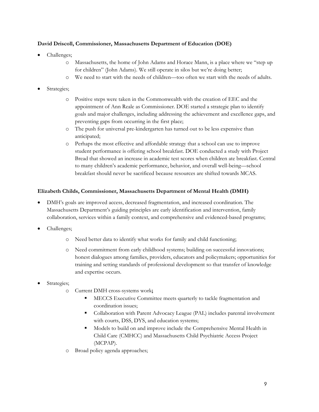#### **David Driscoll, Commissioner, Massachusetts Department of Education (DOE)**

- Challenges;
	- o Massachusetts, the home of John Adams and Horace Mann, is a place where we "step up for children" (John Adams). We still operate in silos but we're doing better;
	- o We need to start with the needs of children—too often we start with the needs of adults.
- Strategies;
	- o Positive steps were taken in the Commonwealth with the creation of EEC and the appointment of Ann Reale as Commissioner. DOE started a strategic plan to identify goals and major challenges, including addressing the achievement and excellence gaps, and preventing gaps from occurring in the first place;
	- o The push for universal pre-kindergarten has turned out to be less expensive than anticipated;
	- o Perhaps the most effective and affordable strategy that a school can use to improve student performance is offering school breakfast. DOE conducted a study with Project Bread that showed an increase in academic test scores when children ate breakfast. Central to many children's academic performance, behavior, and overall well-being—school breakfast should never be sacrificed because resources are shifted towards MCAS.

#### **Elizabeth Childs, Commissioner, Massachusetts Department of Mental Health (DMH)**

- DMH's goals are improved access, decreased fragmentation, and increased coordination. The Massachusetts Department's guiding principles are early identification and intervention, family collaboration, services within a family context, and comprehensive and evidenced-based programs;
- Challenges;
	- o Need better data to identify what works for family and child functioning;
	- o Need commitment from early childhood systems; building on successful innovations; honest dialogues among families, providers, educators and policymakers; opportunities for training and setting standards of professional development so that transfer of knowledge and expertise occurs.
- Strategies;
	- o Current DMH cross-systems work**;** 
		- MECCS Executive Committee meets quarterly to tackle fragmentation and coordination issues;
		- Collaboration with Parent Advocacy League (PAL) includes parental involvement with courts, DSS, DYS, and education systems;
		- Models to build on and improve include the Comprehensive Mental Health in Child Care (CMHCC) and Massachusetts Child Psychiatric Access Project (MCPAP).
	- o Broad policy agenda approaches;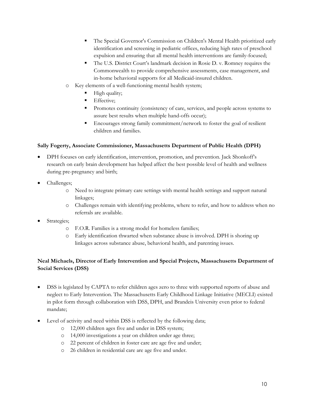- The Special Governor's Commission on Children's Mental Health prioritized early identification and screening in pediatric offices, reducing high rates of preschool expulsion and ensuring that all mental health interventions are family-focused;
- The U.S. District Court's landmark decision in Rosie D. v. Romney requires the Commonwealth to provide comprehensive assessments, case management, and in-home behavioral supports for all Medicaid-insured children.
- o Key elements of a well-functioning mental health system;
	- High quality;
	- Effective;
	- Promotes continuity (consistency of care, services, and people across systems to assure best results when multiple hand-offs occur);
	- Encourages strong family commitment/network to foster the goal of resilient children and families.

#### **Sally Fogerty, Associate Commissioner, Massachusetts Department of Public Health (DPH)**

- DPH focuses on early identification, intervention, promotion, and prevention. Jack Shonkoff's research on early brain development has helped affect the best possible level of health and wellness during pre-pregnancy and birth;
- Challenges;
	- o Need to integrate primary care settings with mental health settings and support natural linkages;
	- o Challenges remain with identifying problems, where to refer, and how to address when no referrals are available.
- Strategies;
	- o F.O.R. Families is a strong model for homeless families;
	- o Early identification thwarted when substance abuse is involved. DPH is shoring up linkages across substance abuse, behavioral health, and parenting issues.

#### **Neal Michaels, Director of Early Intervention and Special Projects, Massachusetts Department of Social Services (DSS)**

- DSS is legislated by CAPTA to refer children ages zero to three with supported reports of abuse and neglect to Early Intervention. The Massachusetts Early Childhood Linkage Initiative (MECLI) existed in pilot form through collaboration with DSS, DPH, and Brandeis University even prior to federal mandate;
- Level of activity and need within DSS is reflected by the following data;
	- o 12,000 children ages five and under in DSS system;
	- o 14,000 investigations a year on children under age three;
	- o 22 percent of children in foster care are age five and under;
	- o 26 children in residential care are age five and under.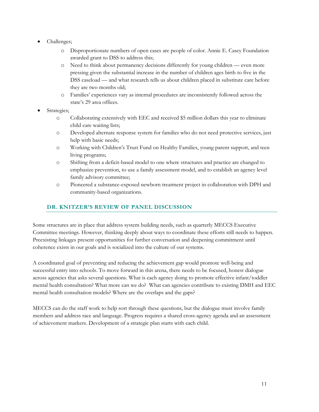- Challenges;
	- o Disproportionate numbers of open cases are people of color. Annie E. Casey Foundation awarded grant to DSS to address this;
	- o Need to think about permanency decisions differently for young children even more pressing given the substantial increase in the number of children ages birth to five in the DSS caseload — and what research tells us about children placed in substitute care before they are two months old;
	- o Families' experiences vary as internal procedures are inconsistently followed across the state's 29 area offices.
- Strategies;
	- o Collaborating extensively with EEC and received \$5 million dollars this year to eliminate child care waiting lists;
	- o Developed alternate response system for families who do not need protective services, just help with basic needs;
	- o Working with Children's Trust Fund on Healthy Families, young parent support, and teen living programs;
	- o Shifting from a deficit-based model to one where structures and practice are changed to emphasize prevention, to use a family assessment model, and to establish an agency level family advisory committee;
	- o Pioneered a substance-exposed newborn treatment project in collaboration with DPH and community-based organizations.

#### **DR. KNITZER'S REVIEW OF PANEL DISCUSSION**

Some structures are in place that address system building needs, such as quarterly MECCS Executive Committee meetings. However, thinking deeply about ways to coordinate these efforts still needs to happen. Preexisting linkages present opportunities for further conversation and deepening commitment until coherence exists in our goals and is socialized into the culture of our systems.

A coordinated goal of preventing and reducing the achievement gap would promote well-being and successful entry into schools. To move forward in this arena, there needs to be focused, honest dialogue across agencies that asks several questions. What is each agency doing to promote effective infant/toddler mental health consultation? What more can we do? What can agencies contribute to existing DMH and EEC mental health consultation models? Where are the overlaps and the gaps?

MECCS can do the staff work to help sort through these questions, but the dialogue must involve family members and address race and language. Progress requires a shared cross-agency agenda and an assessment of achievement markers. Development of a strategic plan starts with each child.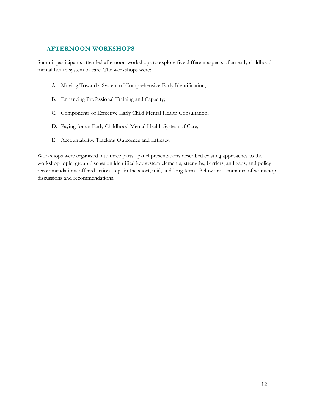# **AFTERNOON WORKSHOPS**

Summit participants attended afternoon workshops to explore five different aspects of an early childhood mental health system of care. The workshops were:

- A. Moving Toward a System of Comprehensive Early Identification;
- B. Enhancing Professional Training and Capacity;
- C. Components of Effective Early Child Mental Health Consultation;
- D. Paying for an Early Childhood Mental Health System of Care;
- E. Accountability: Tracking Outcomes and Efficacy.

Workshops were organized into three parts: panel presentations described existing approaches to the workshop topic; group discussion identified key system elements, strengths, barriers, and gaps; and policy recommendations offered action steps in the short, mid, and long-term. Below are summaries of workshop discussions and recommendations.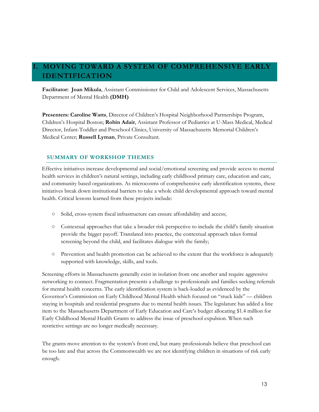# <span id="page-13-0"></span>**I. MOVING TOWARD A SYSTEM OF COMPREHENSIVE EARLY IDENTIFICATION**

**Facilitator: Joan Mikula**, Assistant Commissioner for Child and Adolescent Services, Massachusetts Department of Mental Health **(DMH)**

**Presenters: Caroline Watts**, Director of Children's Hospital Neighborhood Partnerships Program, Children's Hospital Boston; **Robin Adair**, Assistant Professor of Pediatrics at U-Mass Medical, Medical Director, Infant-Toddler and Preschool Clinics, University of Massachusetts Memorial Children's Medical Center; **Russell Lyman**, Private Consultant.

## **SUMMARY OF WORKSHOP THEMES**

Effective initiatives increase developmental and social/emotional screening and provide access to mental health services in children's natural settings, including early childhood primary care, education and care, and community based organizations. As microcosms of comprehensive early identification systems, these initiatives break down institutional barriers to take a whole child developmental approach toward mental health. Critical lessons learned from these projects include:

- Solid, cross-system fiscal infrastructure can ensure affordability and access;
- Contextual approaches that take a broader risk perspective to include the child's family situation provide the bigger payoff. Translated into practice, the contextual approach takes formal screening beyond the child, and facilitates dialogue with the family;
- Prevention and health promotion can be achieved to the extent that the workforce is adequately supported with knowledge, skills, and tools.

Screening efforts in Massachusetts generally exist in isolation from one another and require aggressive networking to connect. Fragmentation presents a challenge to professionals and families seeking referrals for mental health concerns. The early identification system is back-loaded as evidenced by the Governor's Commission on Early Childhood Mental Health which focused on "stuck kids" — children staying in hospitals and residential programs due to mental health issues. The legislature has added a line item to the Massachusetts Department of Early Education and Care's budget allocating \$1.4 million for Early Childhood Mental Health Grants to address the issue of preschool expulsion. When such restrictive settings are no longer medically necessary.

The grants move attention to the system's front end, but many professionals believe that preschool can be too late and that across the Commonwealth we are not identifying children in situations of risk early enough.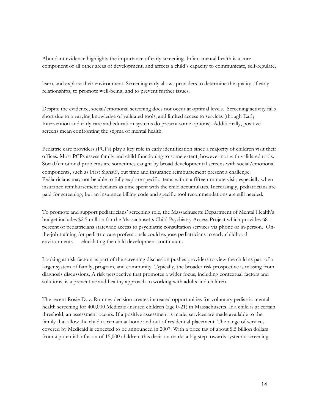Abundant evidence highlights the importance of early screening. Infant mental health is a core component of all other areas of development, and affects a child's capacity to communicate, self-regulate,

learn, and explore their environment. Screening early allows providers to determine the quality of early relationships, to promote well-being, and to prevent further issues.

Despite the evidence, social/emotional screening does not occur at optimal levels. Screening activity falls short due to a varying knowledge of validated tools, and limited access to services (though Early Intervention and early care and education systems do present some options). Additionally, positive screens mean confronting the stigma of mental health.

Pediatric care providers (PCPs) play a key role in early identification since a majority of children visit their offices. Most PCPs assess family and child functioning to some extent, however not with validated tools. Social/emotional problems are sometimes caught by broad developmental screens with social/emotional components, such as First Signs®, but time and insurance reimbursement present a challenge. Pediatricians may not be able to fully explore specific items within a fifteen-minute visit, especially when insurance reimbursement declines as time spent with the child accumulates. Increasingly, pediatricians are paid for screening, but an insurance billing code and specific tool recommendations are still needed.

To promote and support pediatricians' screening role, the Massachusetts Department of Mental Health's budget includes \$2.5 million for the Massachusetts Child Psychiatry Access Project which provides 68 percent of pediatricians statewide access to psychiatric consultation services via phone or in-person. Onthe-job training for pediatric care professionals could expose pediatricians to early childhood environments — elucidating the child development continuum.

Looking at risk factors as part of the screening discussion pushes providers to view the child as part of a larger system of family, program, and community. Typically, the broader risk prospective is missing from diagnosis discussions. A risk perspective that promotes a wider focus, including contextual factors and solutions, is a preventive and healthy approach to working with adults and children.

The recent Rosie D. v. Romney decision creates increased opportunities for voluntary pediatric mental health screening for 400,000 Medicaid-insured children (age 0-21) in Massachusetts. If a child is at certain threshold, an assessment occurs. If a positive assessment is made, services are made available to the family that allow the child to remain at home and out of residential placement. The range of services covered by Medicaid is expected to be announced in 2007. With a price tag of about \$.5 billion dollars from a potential infusion of 15,000 children, this decision marks a big step towards systemic screening.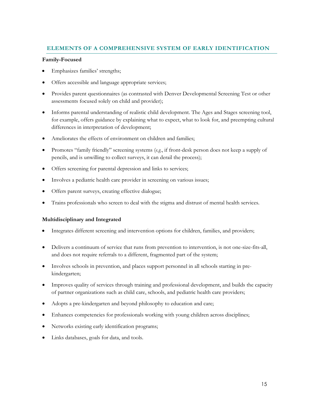# **ELEMENTS OF A COMPREHENSIVE SYSTEM OF EARLY IDENTIFICATION**

#### **Family-Focused**

- Emphasizes families' strengths;
- Offers accessible and language appropriate services;
- Provides parent questionnaires (as contrasted with Denver Developmental Screening Test or other assessments focused solely on child and provider);
- Informs parental understanding of realistic child development. The Ages and Stages screening tool, for example, offers guidance by explaining what to expect, what to look for, and preempting cultural differences in interpretation of development;
- Ameliorates the effects of environment on children and families;
- Promotes "family friendly" screening systems (*e.g*., if front-desk person does not keep a supply of pencils, and is unwilling to collect surveys, it can derail the process);
- Offers screening for parental depression and links to services;
- Involves a pediatric health care provider in screening on various issues;
- Offers parent surveys, creating effective dialogue;
- Trains professionals who screen to deal with the stigma and distrust of mental health services.

#### **Multidisciplinary and Integrated**

- Integrates different screening and intervention options for children, families, and providers;
- Delivers a continuum of service that runs from prevention to intervention, is not one-size-fits-all, and does not require referrals to a different, fragmented part of the system;
- Involves schools in prevention, and places support personnel in all schools starting in prekindergarten;
- Improves quality of services through training and professional development, and builds the capacity of partner organizations such as child care, schools, and pediatric health care providers;
- Adopts a pre-kindergarten and beyond philosophy to education and care;
- Enhances competencies for professionals working with young children across disciplines;
- Networks existing early identification programs;
- Links databases, goals for data, and tools.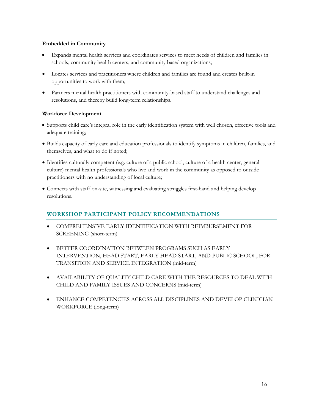#### **Embedded in Community**

- Expands mental health services and coordinates services to meet needs of children and families in schools, community health centers, and community based organizations;
- Locates services and practitioners where children and families are found and creates built-in opportunities to work with them;
- Partners mental health practitioners with community-based staff to understand challenges and resolutions, and thereby build long-term relationships.

#### **Workforce Development**

- Supports child care's integral role in the early identification system with well chosen, effective tools and adequate training;
- Builds capacity of early care and education professionals to identify symptoms in children, families, and themselves, and what to do if noted;
- Identifies culturally competent (e.g. culture of a public school, culture of a health center, general culture) mental health professionals who live and work in the community as opposed to outside practitioners with no understanding of local culture;
- Connects with staff on-site, witnessing and evaluating struggles first-hand and helping develop resolutions.

# **WORKSHOP PARTICIPANT POLICY RECOMMENDATIONS**

- COMPREHENSIVE EARLY IDENTIFICATION WITH REIMBURSEMENT FOR SCREENING (short-term)
- BETTER COORDINATION BETWEEN PROGRAMS SUCH AS EARLY INTERVENTION, HEAD START, EARLY HEAD START, AND PUBLIC SCHOOL, FOR TRANSITION AND SERVICE INTEGRATION (mid-term)
- AVAILABILITY OF QUALITY CHILD CARE WITH THE RESOURCES TO DEAL WITH CHILD AND FAMILY ISSUES AND CONCERNS (mid-term)
- ENHANCE COMPETENCIES ACROSS ALL DISCIPLINES AND DEVELOP CLINICIAN WORKFORCE (long-term)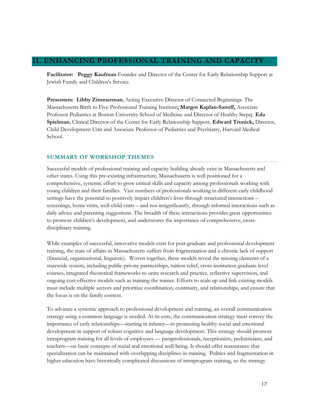## **II. ENHANCING PROFESSIONAL TRAINING AND CAPACITY**

**Facilitator: Peggy Kaufman** Founder and Director of the Center for Early Relationship Support at Jewish Family and Children's Service.

**Presenters: Libby Zimmerman**, Acting Executive Director of Connected Beginnings: The Massachusetts Birth to Five Professional Training Institute**; Margot Kaplan-Sanoff,** Associate Professor Pediatrics at Boston University School of Medicine and Director of Healthy Steps**; Eda Spielman**, Clinical Director of the Center for Early Relationship Support. **Edward Tronick,** Director, Child Development Unit and Associate Professor of Pediatrics and Psychiatry, Harvard Medical School.

#### **SUMMARY OF WORKSHOP THEMES**

Successful models of professional training and capacity building already exist in Massachusetts and other states. Using this pre-existing infrastructure, Massachusetts is well positioned for a comprehensive, systemic effort to grow critical skills and capacity among professionals working with young children and their families. Vast numbers of professionals working in different early childhood settings have the potential to positively impact children's lives through structured interactions – screenings, home visits, well-child visits – and not insignificantly, through informal interactions such as daily advice and parenting suggestions. The breadth of these interactions provides great opportunities to promote children's development, and underscores the importance of comprehensive, crossdisciplinary training.

While examples of successful, innovative models exist for post-graduate and professional development training, the state of affairs in Massachusetts suffers from fragmentation and a chronic lack of support (financial, organizational, linguistic). Woven together, these models reveal the missing elements of a statewide system, including public-private partnerships, tuition relief, cross-institution graduate level courses, integrated theoretical frameworks to unite research and practice, reflective supervision, and ongoing cost-effective models such as training the trainer. Efforts to scale up and link existing models must include multiple sectors and prioritize coordination, continuity, and relationships, and ensure that the focus is on the family context.

To advance a systemic approach to professional development and training, an overall communication strategy using a common language is needed. At its core, the communication strategy must convey the importance of early relationships—starting in infancy—in promoting healthy social and emotional development in support of robust cognitive and language development. This strategy should promote intraprogram training for all levels of employees — paraprofessionals, receptionists, pediatricians, and teachers—on basic concepts of social and emotional well-being. It should offer reassurance that specialization can be maintained with overlapping disciplines in training. Politics and fragmentation in higher education have historically complicated discussions of intraprogram training, so the strategy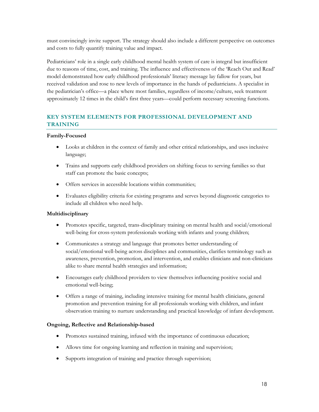must convincingly invite support. The strategy should also include a different perspective on outcomes and costs to fully quantify training value and impact.

Pediatricians' role in a single early childhood mental health system of care is integral but insufficient due to reasons of time, cost, and training. The influence and effectiveness of the 'Reach Out and Read' model demonstrated how early childhood professionals' literacy message lay fallow for years, but received validation and rose to new levels of importance in the hands of pediatricians. A specialist in the pediatrician's office—a place where most families, regardless of income/culture, seek treatment approximately 12 times in the child's first three years—could perform necessary screening functions.

# **KEY SYSTEM ELEMENTS FOR PROFESSIONAL DEVELOPMENT AND TRAINING**

#### **Family-Focused**

- Looks at children in the context of family and other critical relationships, and uses inclusive language;
- Trains and supports early childhood providers on shifting focus to serving families so that staff can promote the basic concepts;
- Offers services in accessible locations within communities;
- Evaluates eligibility criteria for existing programs and serves beyond diagnostic categories to include all children who need help.

#### **Multidisciplinary**

- Promotes specific, targeted, trans-disciplinary training on mental health and social/emotional well-being for cross-system professionals working with infants and young children;
- Communicates a strategy and language that promotes better understanding of social/emotional well-being across disciplines and communities, clarifies terminology such as awareness, prevention, promotion, and intervention, and enables clinicians and non-clinicians alike to share mental health strategies and information;
- Encourages early childhood providers to view themselves influencing positive social and emotional well-being;
- Offers a range of training, including intensive training for mental health clinicians, general promotion and prevention training for all professionals working with children, and infant observation training to nurture understanding and practical knowledge of infant development.

#### **Ongoing, Reflective and Relationship-based**

- Promotes sustained training, infused with the importance of continuous education;
- Allows time for ongoing learning and reflection in training and supervision;
- Supports integration of training and practice through supervision;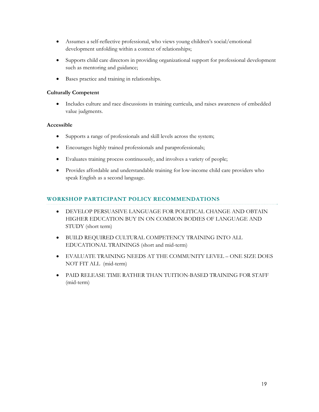- Assumes a self-reflective professional, who views young children's social/emotional development unfolding within a context of relationships;
- Supports child care directors in providing organizational support for professional development such as mentoring and guidance;
- Bases practice and training in relationships.

#### **Culturally Competent**

• Includes culture and race discussions in training curricula, and raises awareness of embedded value judgments.

#### **Accessible**

- Supports a range of professionals and skill levels across the system;
- Encourages highly trained professionals and paraprofessionals;
- Evaluates training process continuously, and involves a variety of people;
- Provides affordable and understandable training for low-income child care providers who speak English as a second language.

#### **WORKSHOP PARTICIPANT POLICY RECOMMENDATIONS**

- DEVELOP PERSUASIVE LANGUAGE FOR POLITICAL CHANGE AND OBTAIN HIGHER EDUCATION BUY IN ON COMMON BODIES OF LANGUAGE AND STUDY (short term)
- BUILD REQUIRED CULTURAL COMPETENCY TRAINING INTO ALL EDUCATIONAL TRAININGS (short and mid-term)
- EVALUATE TRAINING NEEDS AT THE COMMUNITY LEVEL ONE SIZE DOES NOT FIT ALL (mid-term)
- PAID RELEASE TIME RATHER THAN TUITION-BASED TRAINING FOR STAFF (mid-term)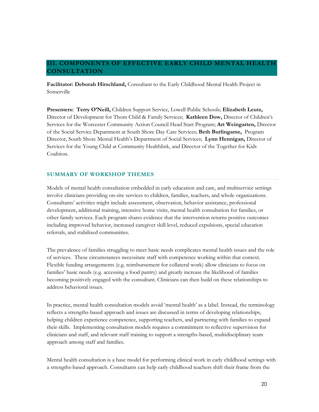# **III. COMPONENTS OF EFFECTIVE EARLY CHILD MENTAL HEALTH CONSULTATION**

**Facilitator: Deborah Hirschland,** Consultant to the Early Childhood Mental Health Project in Somerville

**Presenters: Terry O'Neill,** Children Support Service, Lowell Public Schools; **Elizabeth Leutz,**  Director of Development for Thom Child & Family Services; **Kathleen Dow,** Director of Children's Services for the Worcester Community Action Council Head Start Program; **Art Weingarten,** Director of the Social Service Department at South Shore Day Care Services; **Beth Burlingame,** Program Director, South Shore Mental Health's Department of Social Services; **Lynn Hennigan,** Director of Services for the Young Child at Community Healthlink, and Director of the Together for Kids Coalition.

#### **SUMMARY OF WORKSHOP THEMES**

Models of mental health consultation embedded in early education and care, and multiservice settings involve clinicians providing on-site services to children, families, teachers, and whole organizations. Consultants' activities might include assessment, observation, behavior assistance, professional development, additional training, intensive home visits, mental health consultation for families, or other family services. Each program shares evidence that the intervention returns positive outcomes including improved behavior, increased caregiver skill level, reduced expulsions, special education referrals, and stabilized communities.

The prevalence of families struggling to meet basic needs complicates mental health issues and the role of services. These circumstances necessitate staff with competence working within that context. Flexible funding arrangements (e.g. reimbursement for collateral work) allow clinicians to focus on families' basic needs (e.g. accessing a food pantry) and greatly increase the likelihood of families becoming positively engaged with the consultant. Clinicians can then build on these relationships to address behavioral issues.

In practice, mental health consultation models avoid 'mental health' as a label. Instead, the terminology reflects a strengths-based approach and issues are discussed in terms of developing relationships, helping children experience competence, supporting teachers, and partnering with families to expand their skills. Implementing consultation models requires a commitment to reflective supervision for clinicians and staff, and relevant staff training to support a strengths-based, multidisciplinary team approach among staff and families.

Mental health consultation is a base model for performing clinical work in early childhood settings with a strengths-based approach. Consultants can help early childhood teachers shift their frame from the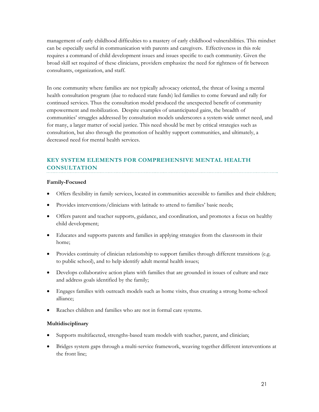management of early childhood difficulties to a mastery of early childhood vulnerabilities. This mindset can be especially useful in communication with parents and caregivers. Effectiveness in this role requires a command of child development issues and issues specific to each community. Given the broad skill set required of these clinicians, providers emphasize the need for rightness of fit between consultants, organization, and staff.

In one community where families are not typically advocacy oriented, the threat of losing a mental health consultation program (due to reduced state funds) led families to come forward and rally for continued services. Thus the consultation model produced the unexpected benefit of community empowerment and mobilization. Despite examples of unanticipated gains, the breadth of communities' struggles addressed by consultation models underscores a system-wide unmet need, and for many, a larger matter of social justice. This need should be met by critical strategies such as consultation, but also through the promotion of healthy support communities, and ultimately, a decreased need for mental health services.

# **KEY SYSTEM ELEMENTS FOR COMPREHENSIVE MENTAL HEALTH CONSULTATION**

#### **Family-Focused**

- Offers flexibility in family services, located in communities accessible to families and their children;
- Provides interventions/clinicians with latitude to attend to families' basic needs;
- Offers parent and teacher supports, guidance, and coordination, and promotes a focus on healthy child development;
- Educates and supports parents and families in applying strategies from the classroom in their home;
- Provides continuity of clinician relationship to support families through different transitions (e.g. to public school), and to help identify adult mental health issues;
- Develops collaborative action plans with families that are grounded in issues of culture and race and address goals identified by the family;
- Engages families with outreach models such as home visits, thus creating a strong home-school alliance;
- Reaches children and families who are not in formal care systems.

#### **Multidisciplinary**

- Supports multifaceted, strengths-based team models with teacher, parent, and clinician;
- Bridges system gaps through a multi-service framework, weaving together different interventions at the front line;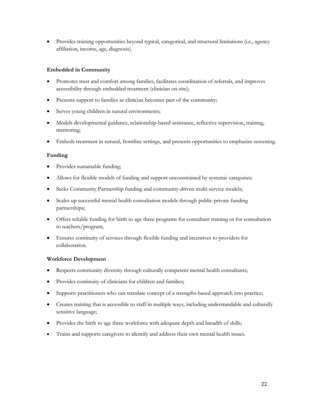• Provides training opportunities beyond typical, categorical, and structural limitations (i.e., agency affiliation, income, age, diagnosis).

#### **Embedded in Community**

- Promotes trust and comfort among families, facilitates coordination of referrals, and improves accessibility through embedded treatment (clinician on-site);
- Presents support to families as clinician becomes part of the community;
- Serves young children in natural environments;
- Models developmental guidance, relationship-based assistance, reflective supervision, training, mentoring;
- Embeds treatment in natural, frontline settings, and presents opportunities to emphasize screening.

#### **Funding**

- Provides sustainable funding;
- Allows for flexible models of funding and support unconstrained by systemic categories;
- Seeks Community Partnership funding and community-driven multi-service models;
- Scales up successful mental health consultation models through public-private funding partnerships;
- Offers reliable funding for birth to age three programs for consultant training or for consultation to teachers/program;
- Ensures continuity of services through flexible funding and incentives to providers for collaboration.

#### **Workforce Development**

- Respects community diversity through culturally competent mental health consultants;
- Provides continuity of clinicians for children and families;
- Supports practitioners who can translate concept of a strengths-based approach into practice;
- Creates training that is accessible to staff in multiple ways, including understandable and culturally sensitive language;
- Provides the birth to age three workforce with adequate depth and breadth of skills;
- Trains and supports caregivers to identify and address their own mental health issues.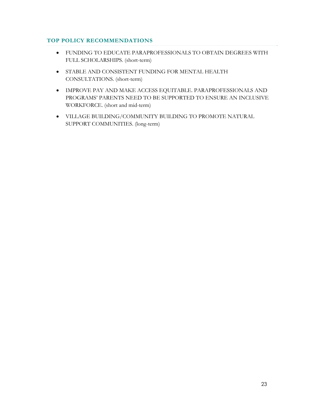#### **TOP POLICY RECOMMENDATIONS**

- FUNDING TO EDUCATE PARAPROFESSIONALS TO OBTAIN DEGREES WITH FULL SCHOLARSHIPS. (short-term)
- STABLE AND CONSISTENT FUNDING FOR MENTAL HEALTH CONSULTATIONS. (short-term)
- IMPROVE PAY AND MAKE ACCESS EQUITABLE. PARAPROFESSIONALS AND PROGRAMS' PARENTS NEED TO BE SUPPORTED TO ENSURE AN INCLUSIVE WORKFORCE. (short and mid-term)
- VILLAGE BUILDING/COMMUNITY BUILDING TO PROMOTE NATURAL SUPPORT COMMUNITIES. (long-term)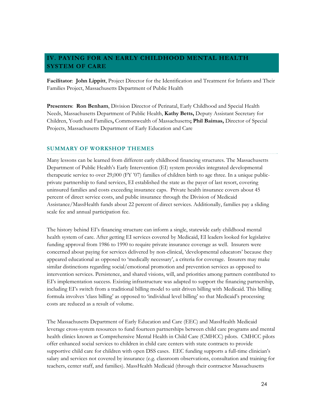# **IV. PAYING FOR AN EARLY CHILDHOOD MENTAL HEALTH SYSTEM OF CARE**

**Facilitator**: **John Lippitt**, Project Director for the Identification and Treatment for Infants and Their Families Project, Massachusetts Department of Public Health

**Presenters**: **Ron Benham**, Division Director of Perinatal, Early Childhood and Special Health Needs, Massachusetts Department of Public Health, **Kathy Betts,** Deputy Assistant Secretary for Children, Youth and Families**,** Commonwealth of Massachusetts**; Phil Baimas,** Director of Special Projects, Massachusetts Department of Early Education and Care

#### **SUMMARY OF WORKSHOP THEMES**

Many lessons can be learned from different early childhood financing structures. The Massachusetts Department of Public Health's Early Intervention (EI) system provides integrated developmental therapeutic service to over 29,000 (FY '07) families of children birth to age three. In a unique publicprivate partnership to fund services, EI established the state as the payer of last resort, covering uninsured families and costs exceeding insurance caps. Private health insurance covers about 45 percent of direct service costs, and public insurance through the Division of Medicaid Assistance/MassHealth funds about 22 percent of direct services. Additionally, families pay a sliding scale fee and annual participation fee.

The history behind EI's financing structure can inform a single, statewide early childhood mental health system of care. After getting EI services covered by Medicaid, EI leaders looked for legislative funding approval from 1986 to 1990 to require private insurance coverage as well. Insurers were concerned about paying for services delivered by non-clinical, 'developmental educators' because they appeared educational as opposed to 'medically necessary', a criteria for coverage. Insurers may make similar distinctions regarding social/emotional promotion and prevention services as opposed to intervention services. Persistence, and shared visions, will, and priorities among partners contributed to EI's implementation success. Existing infrastructure was adapted to support the financing partnership, including EI's switch from a traditional billing model to unit driven billing with Medicaid. This billing formula involves 'class billing' as opposed to 'individual level billing' so that Medicaid's processing costs are reduced as a result of volume.

The Massachusetts Department of Early Education and Care (EEC) and MassHealth Medicaid leverage cross-system resources to fund fourteen partnerships between child care programs and mental health clinics known as Comprehensive Mental Health in Child Care (CMHCC) pilots. CMHCC pilots offer enhanced social services to children in child care centers with state contracts to provide supportive child care for children with open DSS cases. EEC funding supports a full-time clinician's salary and services not covered by insurance (e.g. classroom observations, consultation and training for teachers, center staff, and families). MassHealth Medicaid (through their contractor Massachusetts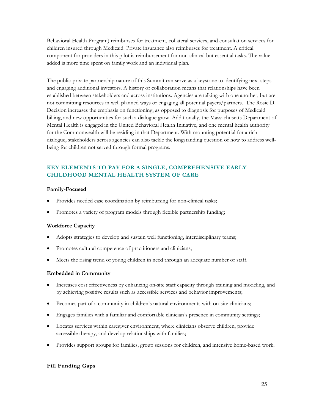<span id="page-25-0"></span>Behavioral Health Program) reimburses for treatment, collateral services, and consultation services for children insured through Medicaid. Private insurance also reimburses for treatment. A critical component for providers in this pilot is reimbursement for non-clinical but essential tasks. The value added is more time spent on family work and an individual plan.

The public-private partnership nature of this Summit can serve as a keystone to identifying next steps and engaging additional investors. A history of collaboration means that relationships have been established between stakeholders and across institutions. Agencies are talking with one another, but are not committing resources in well planned ways or engaging all potential payers/partners. The Rosie D. Decision increases the emphasis on functioning, as opposed to diagnosis for purposes of Medicaid billing, and new opportunities for such a dialogue grow. Additionally, the Massachusetts Department of Mental Health is engaged in the United Behavioral Health Initiative, and one mental health authority for the Commonwealth will be residing in that Department. With mounting potential for a rich dialogue, stakeholders across agencies can also tackle the longstanding question of how to address wellbeing for children not served through formal programs.

# **KEY ELEMENTS TO PAY FOR A SINGLE, COMPREHENSIVE EARLY CHILDHOOD MENTAL HEALTH SYSTEM OF CARE**

#### **Family-Focused**

- Provides needed case coordination by reimbursing for non-clinical tasks;
- Promotes a variety of program models through flexible partnership funding;

#### **Workforce Capacity**

- Adopts strategies to develop and sustain well functioning, interdisciplinary teams;
- Promotes cultural competence of practitioners and clinicians;
- Meets the rising trend of young children in need through an adequate number of staff.

#### **Embedded in Community**

- Increases cost effectiveness by enhancing on-site staff capacity through training and modeling, and by achieving positive results such as accessible services and behavior improvements;
- Becomes part of a community in children's natural environments with on-site clinicians;
- Engages families with a familiar and comfortable clinician's presence in community settings;
- Locates services within caregiver environment, where clinicians observe children, provide accessible therapy, and develop relationships with families;
- Provides support groups for families, group sessions for children, and intensive home-based work.

#### **Fill Funding Gaps**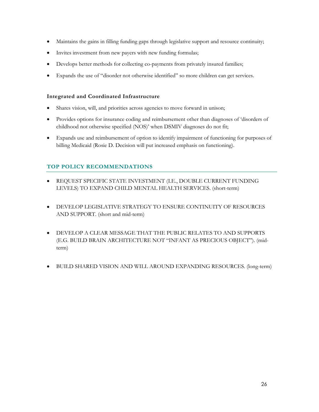- Maintains the gains in filling funding gaps through legislative support and resource continuity;
- Invites investment from new payers with new funding formulas;
- Develops better methods for collecting co-payments from privately insured families;
- Expands the use of "disorder not otherwise identified" so more children can get services.

#### **Integrated and Coordinated Infrastructure**

- Shares vision, will, and priorities across agencies to move forward in unison;
- Provides options for insurance coding and reimbursement other than diagnoses of 'disorders of childhood not otherwise specified (NOS)' when DSMIV diagnoses do not fit;
- Expands use and reimbursement of option to identify impairment of functioning for purposes of billing Medicaid (Rosie D. Decision will put increased emphasis on functioning).

## **TOP POLICY RECOMMENDATIONS**

- REQUEST SPECIFIC STATE INVESTMENT (I.E., DOUBLE CURRENT FUNDING LEVELS) TO EXPAND CHILD MENTAL HEALTH SERVICES. (short-term)
- DEVELOP LEGISLATIVE STRATEGY TO ENSURE CONTINUITY OF RESOURCES AND SUPPORT. (short and mid-term)
- DEVELOP A CLEAR MESSAGE THAT THE PUBLIC RELATES TO AND SUPPORTS (E.G. BUILD BRAIN ARCHITECTURE NOT "INFANT AS PRECIOUS OBJECT"). (midterm)
- BUILD SHARED VISION AND WILL AROUND EXPANDING RESOURCES. (long-term)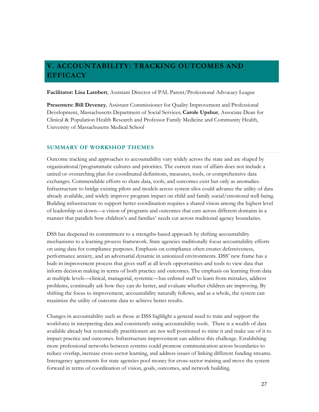# **V. ACCOUNTABILITY: TRACKING OUTCOMES AND EFFICACY**

**Facilitator: Lisa Lambert**, Assistant Director of PAL Parent/Professional Advocacy League

**Presenters: Bill Deveney**, Assistant Commissioner for Quality Improvement and Professional Development, Massachusetts Department of Social Services; **Carole Upshur**, Associate Dean for Clinical & Population Health Research and Professor Family Medicine and Community Health, University of Massachusetts Medical School

#### **SUMMARY OF WORKSHOP THEMES**

Outcome tracking and approaches to accountability vary widely across the state and are shaped by organizational/programmatic cultures and priorities. The current state of affairs does not include a united or overarching plan for coordinated definitions, measures, tools, or comprehensive data exchanges. Commendable efforts to share data, tools, and outcomes exist but only as anomalies. Infrastructure to bridge existing pilots and models across system silos could advance the utility of data already available, and widely improve program impact on child and family social/emotional well-being. Building infrastructure to support better coordination requires a shared vision among the highest level of leadership on down—a vision of programs and outcomes that cuts across different domains in a manner that parallels how children's and families' needs cut across traditional agency boundaries.

DSS has deepened its commitment to a strengths-based approach by shifting accountability mechanisms to a learning process framework. State agencies traditionally focus accountability efforts on using data for compliance purposes. Emphasis on compliance often creates defensiveness, performance anxiety, and an adversarial dynamic in unionized environments. DSS' new frame has a built-in improvement process that gives staff at all levels opportunities and tools to view data that inform decision making in terms of both practice and outcomes. The emphasis on learning from data at multiple levels—clinical, managerial, systemic—has enlisted staff to learn from mistakes, address problems, continually ask how they can do better, and evaluate whether children are improving. By shifting the focus to improvement, accountability naturally follows, and as a whole, the system can maximize the utility of outcome data to achieve better results.

Changes in accountability such as those at DSS highlight a general need to train and support the workforce in interpreting data and consistently using accountability tools. There is a wealth of data available already but systemically practitioners are not well positioned to mine it and make use of it to impact practice and outcomes. Infrastructure improvement can address this challenge. Establishing more professional networks between systems could promote communication across boundaries to reduce overlap, increase cross-sector learning, and address issues of linking different funding streams. Interagency agreements for state agencies pool money for cross-sector training and move the system forward in terms of coordination of vision, goals, outcomes, and network building.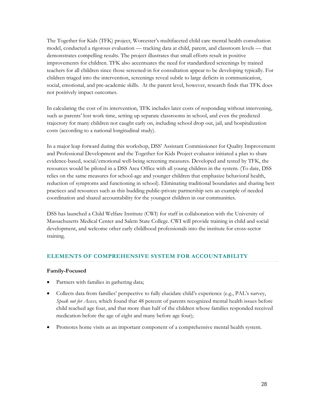<span id="page-28-0"></span>The Together for Kids (TFK) project, Worcester's multifaceted child care mental health consultation model, conducted a rigorous evaluation — tracking data at child, parent, and classroom levels — that demonstrates compelling results. The project illustrates that small efforts result in positive improvements for children. TFK also accentuates the need for standardized screenings by trained teachers for all children since those screened-in for consultation appear to be developing typically. For children triaged into the intervention, screenings reveal subtle to large deficits in communication, social, emotional, and pre-academic skills. At the parent level, however, research finds that TFK does not positively impact outcomes.

In calculating the cost of its intervention, TFK includes later costs of responding without intervening, such as parents' lost work time, setting up separate classrooms in school, and even the predicted trajectory for many children not caught early on, including school drop out, jail, and hospitalization costs (according to a national longitudinal study).

In a major leap forward during this workshop, DSS' Assistant Commissioner for Quality Improvement and Professional Development and the Together for Kids Project evaluator initiated a plan to share evidence-based, social/emotional well-being screening measures. Developed and tested by TFK, the resources would be piloted in a DSS Area Office with all young children in the system. (To date, DSS relies on the same measures for school-age and younger children that emphasize behavioral health, reduction of symptoms and functioning in school). Eliminating traditional boundaries and sharing best practices and resources such as this budding public-private partnership sets an example of needed coordination and shared accountability for the youngest children in our communities.

DSS has launched a Child Welfare Institute (CWI) for staff in collaboration with the University of Massachusetts Medical Center and Salem State College. CWI will provide training in child and social development, and welcome other early childhood professionals into the institute for cross-sector training.

#### **ELEMENTS OF COMPREHENSIVE SYSTEM FOR ACCOUNTABILITY**

#### **Family-Focused**

- Partners with families in gathering data;
- Collects data from families' perspective to fully elucidate child's experience (e.g., PAL's survey, *Speak out for Access,* which found that 48 percent of parents recognized mental health issues before child reached age four, and that more than half of the children whose families responded received medication before the age of eight and many before age four);
- Promotes home visits as an important component of a comprehensive mental health system.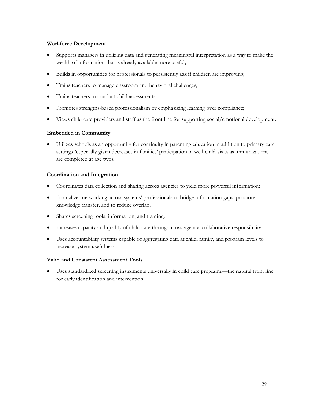#### **Workforce Development**

- Supports managers in utilizing data and generating meaningful interpretation as a way to make the wealth of information that is already available more useful;
- Builds in opportunities for professionals to persistently ask if children are improving;
- Trains teachers to manage classroom and behavioral challenges;
- Trains teachers to conduct child assessments;
- Promotes strengths-based professionalism by emphasizing learning over compliance;
- Views child care providers and staff as the front line for supporting social/emotional development.

#### **Embedded in Community**

• Utilizes schools as an opportunity for continuity in parenting education in addition to primary care settings (especially given decreases in families' participation in well-child visits as immunizations are completed at age two).

#### **Coordination and Integration**

- Coordinates data collection and sharing across agencies to yield more powerful information;
- Formalizes networking across systems' professionals to bridge information gaps, promote knowledge transfer, and to reduce overlap;
- Shares screening tools, information, and training;
- Increases capacity and quality of child care through cross-agency, collaborative responsibility;
- Uses accountability systems capable of aggregating data at child, family, and program levels to increase system usefulness.

#### **Valid and Consistent Assessment Tools**

• Uses standardized screening instruments universally in child care programs—the natural front line for early identification and intervention.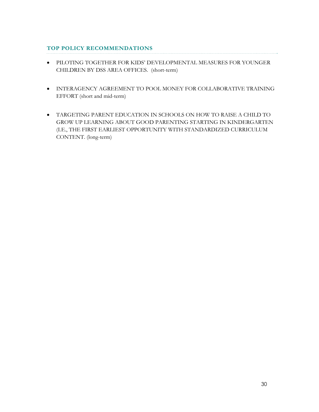# **TOP POLICY RECOMMENDATIONS**

- PILOTING TOGETHER FOR KIDS' DEVELOPMENTAL MEASURES FOR YOUNGER CHILDREN BY DSS AREA OFFICES. (short-term)
- INTERAGENCY AGREEMENT TO POOL MONEY FOR COLLABORATIVE TRAINING EFFORT (short and mid-term)
- TARGETING PARENT EDUCATION IN SCHOOLS ON HOW TO RAISE A CHILD TO GROW UP LEARNING ABOUT GOOD PARENTING STARTING IN KINDERGARTEN (I.E., THE FIRST EARLIEST OPPORTUNITY WITH STANDARDIZED CURRICULUM CONTENT. (long-term)